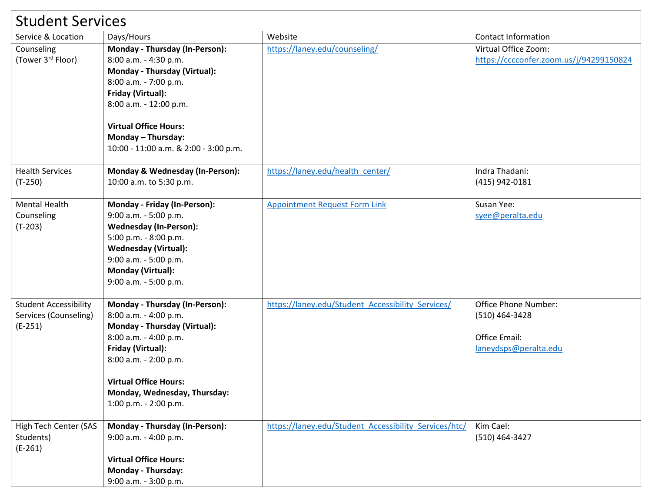| <b>Student Services</b>                                            |                                                                                                                                                                                                                                                                |                                                       |                                                                                  |  |  |
|--------------------------------------------------------------------|----------------------------------------------------------------------------------------------------------------------------------------------------------------------------------------------------------------------------------------------------------------|-------------------------------------------------------|----------------------------------------------------------------------------------|--|--|
| Service & Location                                                 | Days/Hours                                                                                                                                                                                                                                                     | Website                                               | <b>Contact Information</b>                                                       |  |  |
| Counseling<br>(Tower 3 <sup>rd</sup> Floor)                        | Monday - Thursday (In-Person):<br>8:00 a.m. - 4:30 p.m.<br>Monday - Thursday (Virtual):<br>8:00 a.m. - 7:00 p.m.<br>Friday (Virtual):<br>8:00 a.m. - 12:00 p.m.<br><b>Virtual Office Hours:</b><br>Monday - Thursday:<br>10:00 - 11:00 a.m. & 2:00 - 3:00 p.m. | https://laney.edu/counseling/                         | Virtual Office Zoom:<br>https://cccconfer.zoom.us/j/94299150824                  |  |  |
| <b>Health Services</b><br>$(T-250)$                                | Monday & Wednesday (In-Person):<br>10:00 a.m. to 5:30 p.m.                                                                                                                                                                                                     | https://laney.edu/health_center/                      | Indra Thadani:<br>(415) 942-0181                                                 |  |  |
| <b>Mental Health</b><br>Counseling<br>$(T-203)$                    | Monday - Friday (In-Person):<br>9:00 a.m. - 5:00 p.m.<br><b>Wednesday (In-Person):</b><br>5:00 p.m. - 8:00 p.m.<br><b>Wednesday (Virtual):</b><br>9:00 a.m. - 5:00 p.m.<br><b>Monday (Virtual):</b><br>9:00 a.m. - 5:00 p.m.                                   | <b>Appointment Request Form Link</b>                  | Susan Yee:<br>syee@peralta.edu                                                   |  |  |
| <b>Student Accessibility</b><br>Services (Counseling)<br>$(E-251)$ | Monday - Thursday (In-Person):<br>8:00 a.m. - 4:00 p.m.<br>Monday - Thursday (Virtual):<br>8:00 a.m. - 4:00 p.m.<br>Friday (Virtual):<br>8:00 a.m. - 2:00 p.m.<br><b>Virtual Office Hours:</b><br>Monday, Wednesday, Thursday:<br>1:00 p.m. - 2:00 p.m.        | https://laney.edu/Student Accessibility Services/     | Office Phone Number:<br>(510) 464-3428<br>Office Email:<br>laneydsps@peralta.edu |  |  |
| High Tech Center (SAS<br>Students)<br>$(E-261)$                    | Monday - Thursday (In-Person):<br>9:00 a.m. - 4:00 p.m.<br><b>Virtual Office Hours:</b><br><b>Monday - Thursday:</b><br>9:00 a.m. - 3:00 p.m.                                                                                                                  | https://laney.edu/Student Accessibility Services/htc/ | Kim Cael:<br>(510) 464-3427                                                      |  |  |